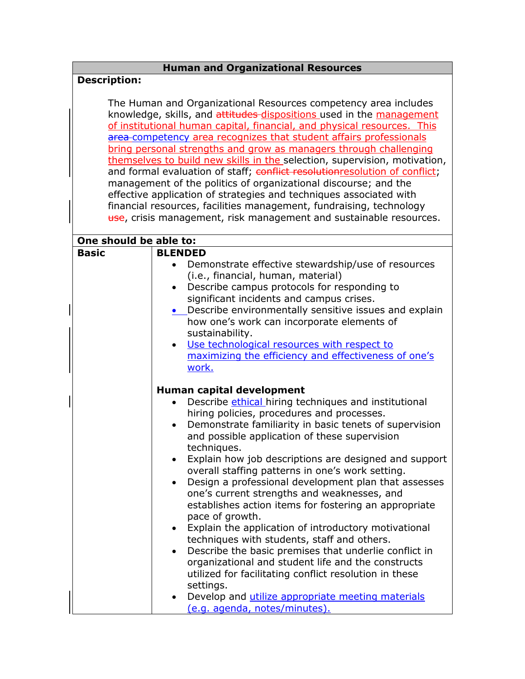## **Human and Organizational Resources**

## **Description:**

The Human and Organizational Resources competency area includes knowledge, skills, and attitudes dispositions used in the management of institutional human capital, financial, and physical resources. This area competency area recognizes that student affairs professionals bring personal strengths and grow as managers through challenging themselves to build new skills in the selection, supervision, motivation, and formal evaluation of staff; conflict resolutionresolution of conflict; management of the politics of organizational discourse; and the effective application of strategies and techniques associated with financial resources, facilities management, fundraising, technology use, crisis management, risk management and sustainable resources.

| One should be able to: |                                                                                                      |
|------------------------|------------------------------------------------------------------------------------------------------|
| <b>Basic</b>           | <b>BLENDED</b>                                                                                       |
|                        | Demonstrate effective stewardship/use of resources<br>$\bullet$                                      |
|                        | (i.e., financial, human, material)                                                                   |
|                        | Describe campus protocols for responding to<br>$\bullet$                                             |
|                        | significant incidents and campus crises.                                                             |
|                        | • Describe environmentally sensitive issues and explain                                              |
|                        | how one's work can incorporate elements of                                                           |
|                        | sustainability.                                                                                      |
|                        | Use technological resources with respect to<br>$\bullet$                                             |
|                        | maximizing the efficiency and effectiveness of one's                                                 |
|                        | work.                                                                                                |
|                        |                                                                                                      |
|                        | Human capital development                                                                            |
|                        | Describe ethical hiring techniques and institutional                                                 |
|                        | hiring policies, procedures and processes.                                                           |
|                        | Demonstrate familiarity in basic tenets of supervision<br>$\bullet$                                  |
|                        | and possible application of these supervision                                                        |
|                        | techniques.                                                                                          |
|                        | Explain how job descriptions are designed and support<br>$\bullet$                                   |
|                        | overall staffing patterns in one's work setting.                                                     |
|                        | Design a professional development plan that assesses                                                 |
|                        | one's current strengths and weaknesses, and<br>establishes action items for fostering an appropriate |
|                        | pace of growth.                                                                                      |
|                        | Explain the application of introductory motivational<br>$\bullet$                                    |
|                        | techniques with students, staff and others.                                                          |
|                        | Describe the basic premises that underlie conflict in<br>$\bullet$                                   |
|                        | organizational and student life and the constructs                                                   |
|                        | utilized for facilitating conflict resolution in these                                               |
|                        | settings.                                                                                            |
|                        | Develop and utilize appropriate meeting materials<br>$\bullet$                                       |
|                        | (e.g. agenda, notes/minutes).                                                                        |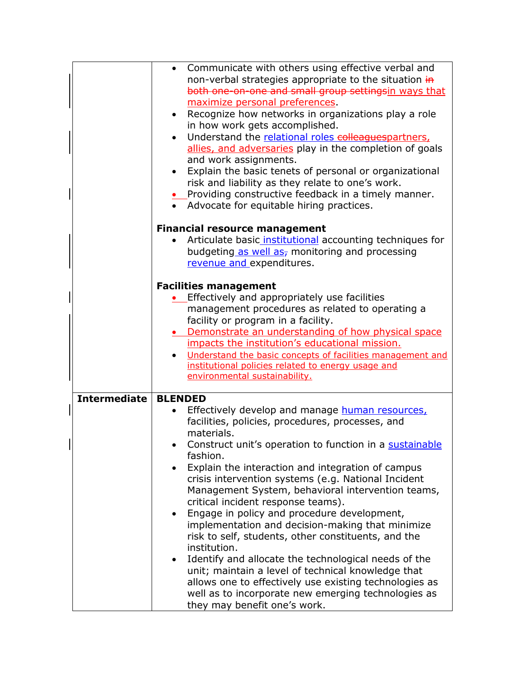|              | Communicate with others using effective verbal and<br>non-verbal strategies appropriate to the situation in<br>both one-on-one and small group settingsin ways that<br>maximize personal preferences.<br>Recognize how networks in organizations play a role<br>$\bullet$<br>in how work gets accomplished.<br>Understand the relational roles colleagues partners,<br>$\bullet$<br>allies, and adversaries play in the completion of goals<br>and work assignments.<br>Explain the basic tenets of personal or organizational<br>$\bullet$<br>risk and liability as they relate to one's work.<br>• Providing constructive feedback in a timely manner.<br>• Advocate for equitable hiring practices.<br><b>Financial resource management</b><br>Articulate basic institutional accounting techniques for<br>budgeting as well as- monitoring and processing                        |
|--------------|--------------------------------------------------------------------------------------------------------------------------------------------------------------------------------------------------------------------------------------------------------------------------------------------------------------------------------------------------------------------------------------------------------------------------------------------------------------------------------------------------------------------------------------------------------------------------------------------------------------------------------------------------------------------------------------------------------------------------------------------------------------------------------------------------------------------------------------------------------------------------------------|
|              | revenue and expenditures.<br><b>Facilities management</b><br>Effectively and appropriately use facilities<br>management procedures as related to operating a<br>facility or program in a facility.<br>Demonstrate an understanding of how physical space<br>impacts the institution's educational mission.<br>Understand the basic concepts of facilities management and<br>institutional policies related to energy usage and<br>environmental sustainability.                                                                                                                                                                                                                                                                                                                                                                                                                      |
| Intermediate | <b>BLENDED</b><br>Effectively develop and manage human resources,<br>facilities, policies, procedures, processes, and<br>materials.<br>Construct unit's operation to function in a sustainable<br>fashion.<br>Explain the interaction and integration of campus<br>crisis intervention systems (e.g. National Incident<br>Management System, behavioral intervention teams,<br>critical incident response teams).<br>Engage in policy and procedure development,<br>$\bullet$<br>implementation and decision-making that minimize<br>risk to self, students, other constituents, and the<br>institution.<br>Identify and allocate the technological needs of the<br>$\bullet$<br>unit; maintain a level of technical knowledge that<br>allows one to effectively use existing technologies as<br>well as to incorporate new emerging technologies as<br>they may benefit one's work. |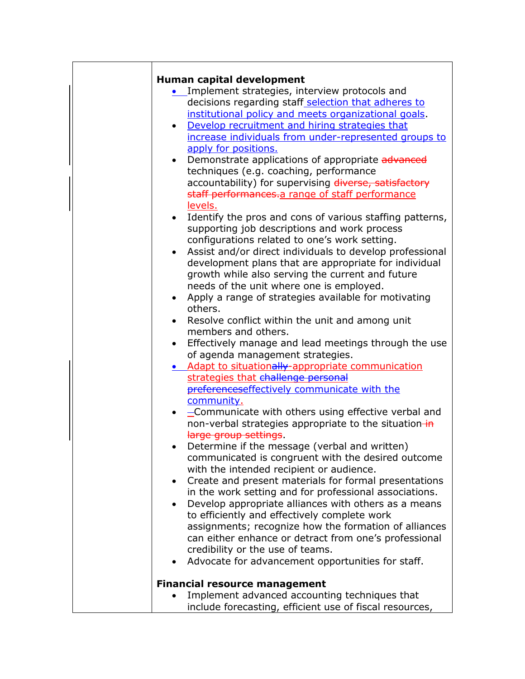|           | Human capital development                                   |
|-----------|-------------------------------------------------------------|
|           | Implement strategies, interview protocols and               |
|           | decisions regarding staff selection that adheres to         |
|           | institutional policy and meets organizational goals.        |
|           |                                                             |
|           | Develop recruitment and hiring strategies that<br>$\bullet$ |
|           | increase individuals from under-represented groups to       |
|           | apply for positions.                                        |
|           | Demonstrate applications of appropriate advanced            |
|           | techniques (e.g. coaching, performance                      |
|           | accountability) for supervising diverse, satisfactory       |
|           | staff performances.a range of staff performance             |
|           | levels.                                                     |
|           | Identify the pros and cons of various staffing patterns,    |
|           | supporting job descriptions and work process                |
|           | configurations related to one's work setting.               |
|           | Assist and/or direct individuals to develop professional    |
|           | development plans that are appropriate for individual       |
|           | growth while also serving the current and future            |
|           | needs of the unit where one is employed.                    |
|           | Apply a range of strategies available for motivating        |
|           | others.                                                     |
| $\bullet$ | Resolve conflict within the unit and among unit             |
|           | members and others.                                         |
|           | Effectively manage and lead meetings through the use        |
|           | of agenda management strategies.                            |
|           | • Adapt to situationally-appropriate communication          |
|           | strategies that challenge personal                          |
|           | preferenceseffectively communicate with the                 |
|           | community.                                                  |
|           | -Communicate with others using effective verbal and         |
|           | non-verbal strategies appropriate to the situation-in       |
|           | large group settings.                                       |
|           | Determine if the message (verbal and written)               |
|           |                                                             |
|           | communicated is congruent with the desired outcome          |
|           | with the intended recipient or audience.                    |
|           | Create and present materials for formal presentations       |
|           | in the work setting and for professional associations.      |
|           | Develop appropriate alliances with others as a means        |
|           | to efficiently and effectively complete work                |
|           | assignments; recognize how the formation of alliances       |
|           | can either enhance or detract from one's professional       |
|           | credibility or the use of teams.                            |
|           | Advocate for advancement opportunities for staff.           |
|           | <b>Financial resource management</b>                        |
|           | Implement advanced accounting techniques that               |
|           | include forecasting, efficient use of fiscal resources,     |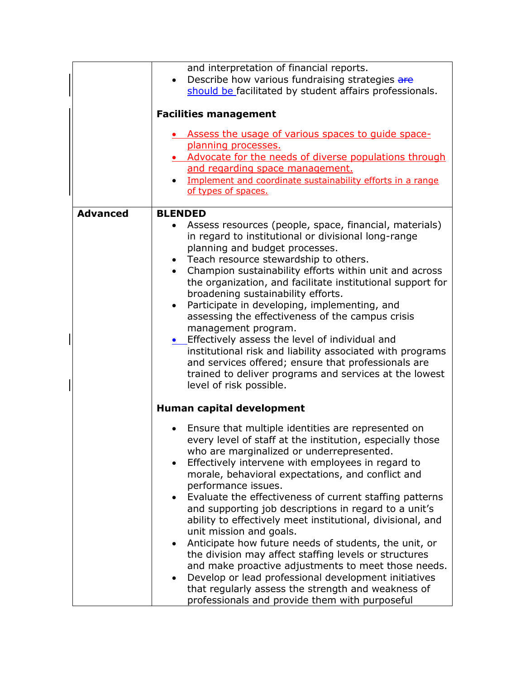|                 | and interpretation of financial reports.<br>Describe how various fundraising strategies are<br>should be facilitated by student affairs professionals.                                                                                                                                                                                                                                                                                                                                                                                                                                                                                                                                                                                                                                                                                              |
|-----------------|-----------------------------------------------------------------------------------------------------------------------------------------------------------------------------------------------------------------------------------------------------------------------------------------------------------------------------------------------------------------------------------------------------------------------------------------------------------------------------------------------------------------------------------------------------------------------------------------------------------------------------------------------------------------------------------------------------------------------------------------------------------------------------------------------------------------------------------------------------|
|                 | <b>Facilities management</b>                                                                                                                                                                                                                                                                                                                                                                                                                                                                                                                                                                                                                                                                                                                                                                                                                        |
|                 | Assess the usage of various spaces to quide space-<br>planning processes.<br>• Advocate for the needs of diverse populations through<br>and regarding space management.<br>Implement and coordinate sustainability efforts in a range<br>of types of spaces.                                                                                                                                                                                                                                                                                                                                                                                                                                                                                                                                                                                        |
| <b>Advanced</b> | <b>BLENDED</b><br>Assess resources (people, space, financial, materials)<br>in regard to institutional or divisional long-range<br>planning and budget processes.<br>• Teach resource stewardship to others.<br>Champion sustainability efforts within unit and across<br>the organization, and facilitate institutional support for<br>broadening sustainability efforts.<br>Participate in developing, implementing, and<br>$\bullet$<br>assessing the effectiveness of the campus crisis<br>management program.<br>• Effectively assess the level of individual and<br>institutional risk and liability associated with programs<br>and services offered; ensure that professionals are<br>trained to deliver programs and services at the lowest<br>level of risk possible.                                                                     |
|                 | Human capital development                                                                                                                                                                                                                                                                                                                                                                                                                                                                                                                                                                                                                                                                                                                                                                                                                           |
|                 | Ensure that multiple identities are represented on<br>every level of staff at the institution, especially those<br>who are marginalized or underrepresented.<br>Effectively intervene with employees in regard to<br>morale, behavioral expectations, and conflict and<br>performance issues.<br>Evaluate the effectiveness of current staffing patterns<br>and supporting job descriptions in regard to a unit's<br>ability to effectively meet institutional, divisional, and<br>unit mission and goals.<br>Anticipate how future needs of students, the unit, or<br>the division may affect staffing levels or structures<br>and make proactive adjustments to meet those needs.<br>Develop or lead professional development initiatives<br>that regularly assess the strength and weakness of<br>professionals and provide them with purposeful |